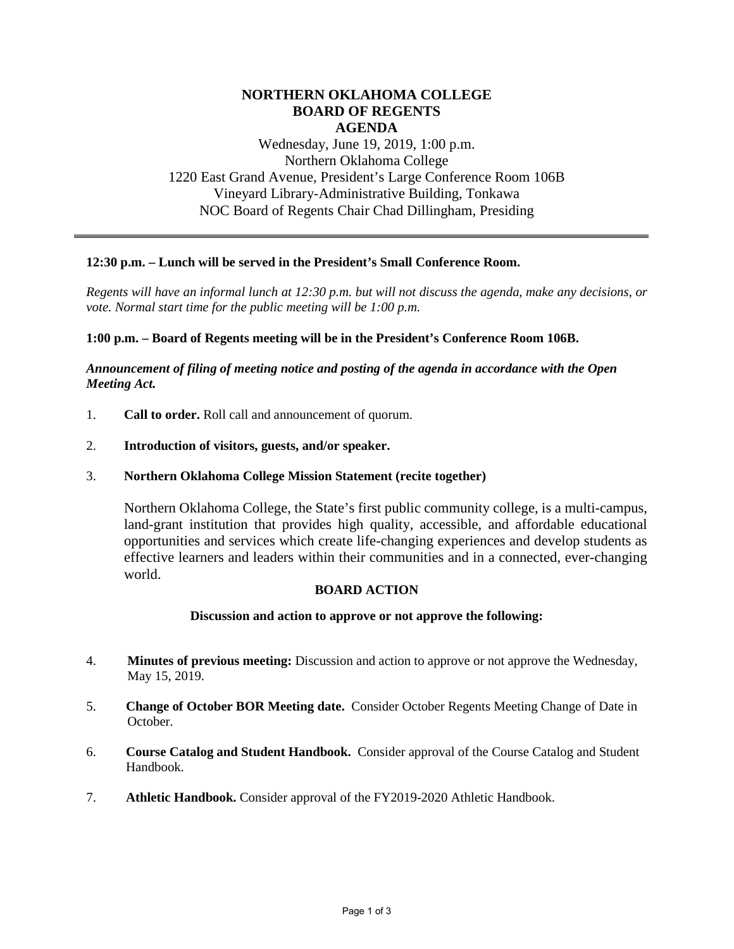# **NORTHERN OKLAHOMA COLLEGE BOARD OF REGENTS AGENDA**

Wednesday, June 19, 2019, 1:00 p.m. Northern Oklahoma College 1220 East Grand Avenue, President's Large Conference Room 106B Vineyard Library-Administrative Building, Tonkawa NOC Board of Regents Chair Chad Dillingham, Presiding

## **12:30 p.m. – Lunch will be served in the President's Small Conference Room.**

*Regents will have an informal lunch at 12:30 p.m. but will not discuss the agenda, make any decisions, or vote. Normal start time for the public meeting will be 1:00 p.m.* 

### **1:00 p.m. – Board of Regents meeting will be in the President's Conference Room 106B.**

## *Announcement of filing of meeting notice and posting of the agenda in accordance with the Open Meeting Act.*

- 1. **Call to order.** Roll call and announcement of quorum.
- 2. **Introduction of visitors, guests, and/or speaker.**
- 3. **Northern Oklahoma College Mission Statement (recite together)**

Northern Oklahoma College, the State's first public community college, is a multi-campus, land-grant institution that provides high quality, accessible, and affordable educational opportunities and services which create life-changing experiences and develop students as effective learners and leaders within their communities and in a connected, ever-changing world.

#### **BOARD ACTION**

#### **Discussion and action to approve or not approve the following:**

- 4. **Minutes of previous meeting:** Discussion and action to approve or not approve the Wednesday, May 15, 2019.
- 5. **Change of October BOR Meeting date.** Consider October Regents Meeting Change of Date in October.
- 6. **Course Catalog and Student Handbook.** Consider approval of the Course Catalog and Student Handbook.
- 7. **Athletic Handbook.** Consider approval of the FY2019-2020 Athletic Handbook.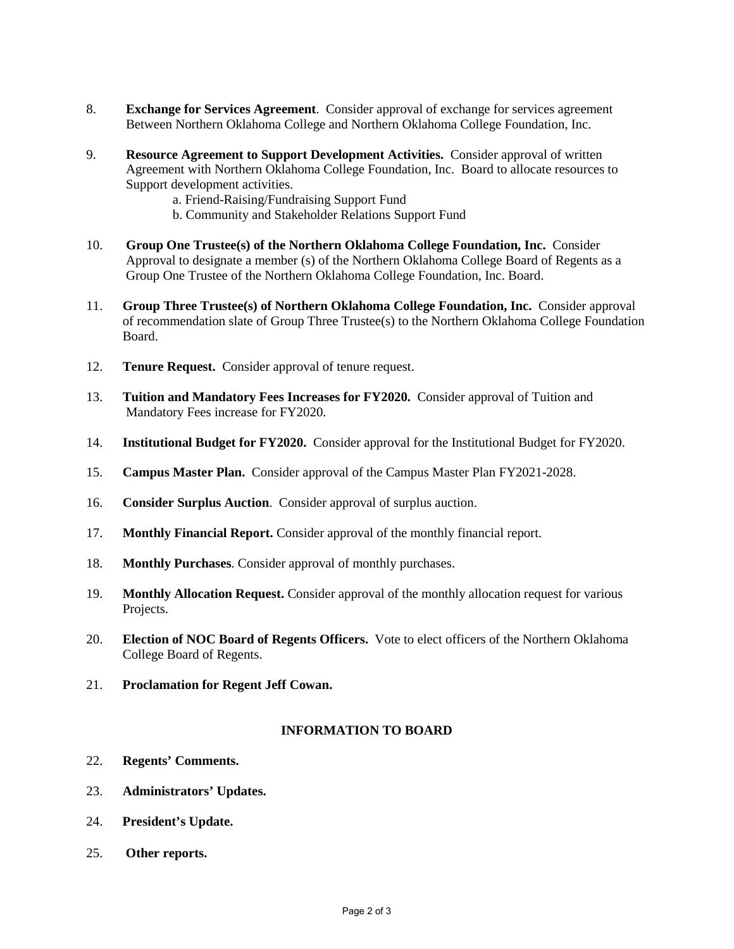- 8. **Exchange for Services Agreement**. Consider approval of exchange for services agreement Between Northern Oklahoma College and Northern Oklahoma College Foundation, Inc.
- 9. **Resource Agreement to Support Development Activities.** Consider approval of written Agreement with Northern Oklahoma College Foundation, Inc. Board to allocate resources to Support development activities.
	- a. Friend-Raising/Fundraising Support Fund
	- b. Community and Stakeholder Relations Support Fund
- 10. **Group One Trustee(s) of the Northern Oklahoma College Foundation, Inc.** Consider Approval to designate a member (s) of the Northern Oklahoma College Board of Regents as a Group One Trustee of the Northern Oklahoma College Foundation, Inc. Board.
- 11. **Group Three Trustee(s) of Northern Oklahoma College Foundation, Inc.** Consider approval of recommendation slate of Group Three Trustee(s) to the Northern Oklahoma College Foundation Board.
- 12. **Tenure Request.** Consider approval of tenure request.
- 13. **Tuition and Mandatory Fees Increases for FY2020.** Consider approval of Tuition and Mandatory Fees increase for FY2020.
- 14. **Institutional Budget for FY2020.** Consider approval for the Institutional Budget for FY2020.
- 15. **Campus Master Plan.** Consider approval of the Campus Master Plan FY2021-2028.
- 16. **Consider Surplus Auction**. Consider approval of surplus auction.
- 17. **Monthly Financial Report.** Consider approval of the monthly financial report.
- 18. **Monthly Purchases**. Consider approval of monthly purchases.
- 19. **Monthly Allocation Request.** Consider approval of the monthly allocation request for various Projects.
- 20. **Election of NOC Board of Regents Officers.** Vote to elect officers of the Northern Oklahoma College Board of Regents.
- 21. **Proclamation for Regent Jeff Cowan.**

## **INFORMATION TO BOARD**

- 22. **Regents' Comments.**
- 23. **Administrators' Updates.**
- 24. **President's Update.**
- 25. **Other reports.**